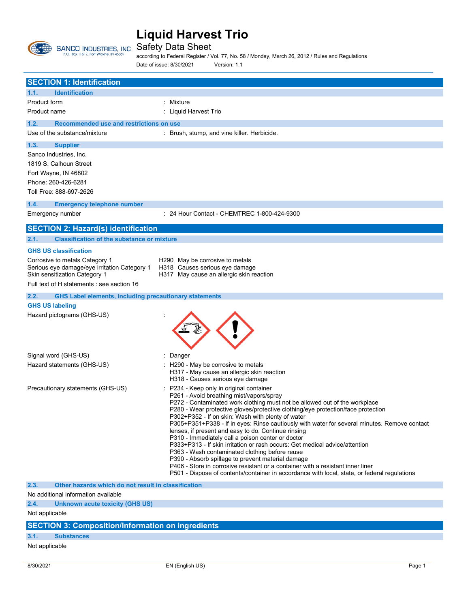

Safety Data Sheet

according to Federal Register / Vol. 77, No. 58 / Monday, March 26, 2012 / Rules and Regulations Date of issue: 8/30/2021 Version: 1.1

| <b>SECTION 1: Identification</b>                                                                                           |                                                                                                                                                                                                                                                                                                                                                                                                                                                                                                                                                                                                                                                                                                                                                                                                                                                                                                |  |  |
|----------------------------------------------------------------------------------------------------------------------------|------------------------------------------------------------------------------------------------------------------------------------------------------------------------------------------------------------------------------------------------------------------------------------------------------------------------------------------------------------------------------------------------------------------------------------------------------------------------------------------------------------------------------------------------------------------------------------------------------------------------------------------------------------------------------------------------------------------------------------------------------------------------------------------------------------------------------------------------------------------------------------------------|--|--|
| 1.1.<br><b>Identification</b>                                                                                              |                                                                                                                                                                                                                                                                                                                                                                                                                                                                                                                                                                                                                                                                                                                                                                                                                                                                                                |  |  |
| Product form                                                                                                               | : Mixture                                                                                                                                                                                                                                                                                                                                                                                                                                                                                                                                                                                                                                                                                                                                                                                                                                                                                      |  |  |
| Product name                                                                                                               | : Liquid Harvest Trio                                                                                                                                                                                                                                                                                                                                                                                                                                                                                                                                                                                                                                                                                                                                                                                                                                                                          |  |  |
| 1.2.<br>Recommended use and restrictions on use                                                                            |                                                                                                                                                                                                                                                                                                                                                                                                                                                                                                                                                                                                                                                                                                                                                                                                                                                                                                |  |  |
| Use of the substance/mixture                                                                                               | : Brush, stump, and vine killer. Herbicide.                                                                                                                                                                                                                                                                                                                                                                                                                                                                                                                                                                                                                                                                                                                                                                                                                                                    |  |  |
| 1.3.<br><b>Supplier</b>                                                                                                    |                                                                                                                                                                                                                                                                                                                                                                                                                                                                                                                                                                                                                                                                                                                                                                                                                                                                                                |  |  |
| Sanco Industries, Inc.<br>1819 S. Calhoun Street<br>Fort Wayne, IN 46802<br>Phone: 260-426-6281<br>Toll Free: 888-697-2626 |                                                                                                                                                                                                                                                                                                                                                                                                                                                                                                                                                                                                                                                                                                                                                                                                                                                                                                |  |  |
| 1.4.<br><b>Emergency telephone number</b>                                                                                  |                                                                                                                                                                                                                                                                                                                                                                                                                                                                                                                                                                                                                                                                                                                                                                                                                                                                                                |  |  |
| Emergency number                                                                                                           | : 24 Hour Contact - CHEMTREC 1-800-424-9300                                                                                                                                                                                                                                                                                                                                                                                                                                                                                                                                                                                                                                                                                                                                                                                                                                                    |  |  |
| <b>SECTION 2: Hazard(s) identification</b>                                                                                 |                                                                                                                                                                                                                                                                                                                                                                                                                                                                                                                                                                                                                                                                                                                                                                                                                                                                                                |  |  |
| 2.1.<br><b>Classification of the substance or mixture</b>                                                                  |                                                                                                                                                                                                                                                                                                                                                                                                                                                                                                                                                                                                                                                                                                                                                                                                                                                                                                |  |  |
| <b>GHS US classification</b>                                                                                               |                                                                                                                                                                                                                                                                                                                                                                                                                                                                                                                                                                                                                                                                                                                                                                                                                                                                                                |  |  |
| Corrosive to metals Category 1                                                                                             | H290 May be corrosive to metals                                                                                                                                                                                                                                                                                                                                                                                                                                                                                                                                                                                                                                                                                                                                                                                                                                                                |  |  |
| Serious eye damage/eye irritation Category 1<br>Skin sensitization Category 1                                              | H318 Causes serious eye damage<br>H317 May cause an allergic skin reaction                                                                                                                                                                                                                                                                                                                                                                                                                                                                                                                                                                                                                                                                                                                                                                                                                     |  |  |
| Full text of H statements : see section 16                                                                                 |                                                                                                                                                                                                                                                                                                                                                                                                                                                                                                                                                                                                                                                                                                                                                                                                                                                                                                |  |  |
| 2.2.<br><b>GHS Label elements, including precautionary statements</b>                                                      |                                                                                                                                                                                                                                                                                                                                                                                                                                                                                                                                                                                                                                                                                                                                                                                                                                                                                                |  |  |
| <b>GHS US labeling</b>                                                                                                     |                                                                                                                                                                                                                                                                                                                                                                                                                                                                                                                                                                                                                                                                                                                                                                                                                                                                                                |  |  |
| Hazard pictograms (GHS-US)                                                                                                 |                                                                                                                                                                                                                                                                                                                                                                                                                                                                                                                                                                                                                                                                                                                                                                                                                                                                                                |  |  |
| Signal word (GHS-US)                                                                                                       | Danger                                                                                                                                                                                                                                                                                                                                                                                                                                                                                                                                                                                                                                                                                                                                                                                                                                                                                         |  |  |
| Hazard statements (GHS-US)                                                                                                 | H290 - May be corrosive to metals<br>H317 - May cause an allergic skin reaction<br>H318 - Causes serious eye damage                                                                                                                                                                                                                                                                                                                                                                                                                                                                                                                                                                                                                                                                                                                                                                            |  |  |
| Precautionary statements (GHS-US)                                                                                          | P234 - Keep only in original container<br>P261 - Avoid breathing mist/vapors/spray<br>P272 - Contaminated work clothing must not be allowed out of the workplace<br>P280 - Wear protective gloves/protective clothing/eye protection/face protection<br>P302+P352 - If on skin: Wash with plenty of water<br>P305+P351+P338 - If in eyes: Rinse cautiously with water for several minutes. Remove contact<br>lenses, if present and easy to do. Continue rinsing<br>P310 - Immediately call a poison center or doctor<br>P333+P313 - If skin irritation or rash occurs: Get medical advice/attention<br>P363 - Wash contaminated clothing before reuse<br>P390 - Absorb spillage to prevent material damage<br>P406 - Store in corrosive resistant or a container with a resistant inner liner<br>P501 - Dispose of contents/container in accordance with local, state, or federal regulations |  |  |
| Other hazards which do not result in classification<br>2.3.<br>No additional information available                         |                                                                                                                                                                                                                                                                                                                                                                                                                                                                                                                                                                                                                                                                                                                                                                                                                                                                                                |  |  |
| 2.4.                                                                                                                       |                                                                                                                                                                                                                                                                                                                                                                                                                                                                                                                                                                                                                                                                                                                                                                                                                                                                                                |  |  |
| <b>Unknown acute toxicity (GHS US)</b><br>Not applicable                                                                   |                                                                                                                                                                                                                                                                                                                                                                                                                                                                                                                                                                                                                                                                                                                                                                                                                                                                                                |  |  |
|                                                                                                                            |                                                                                                                                                                                                                                                                                                                                                                                                                                                                                                                                                                                                                                                                                                                                                                                                                                                                                                |  |  |
| <b>SECTION 3: Composition/Information on ingredients</b>                                                                   |                                                                                                                                                                                                                                                                                                                                                                                                                                                                                                                                                                                                                                                                                                                                                                                                                                                                                                |  |  |

- **3.1. Substances**
- Not applicable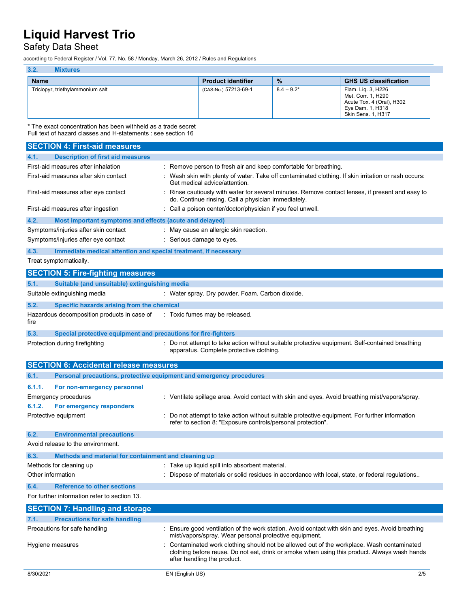## Safety Data Sheet

according to Federal Register / Vol. 77, No. 58 / Monday, March 26, 2012 / Rules and Regulations

| 3.2.<br><b>Mixtures</b>          |                           |               |                                                                                                                        |
|----------------------------------|---------------------------|---------------|------------------------------------------------------------------------------------------------------------------------|
| <b>Name</b>                      | <b>Product identifier</b> | $\%$          | <b>GHS US classification</b>                                                                                           |
| Triclopyr, triethylammonium salt | (CAS-No.) 57213-69-1      | $8.4 - 9.2^*$ | Flam. Lig. 3, H226<br>Met. Corr. 1, H290<br>Acute Tox. 4 (Oral), H302<br>Eye Dam. 1, H318<br><b>Skin Sens. 1, H317</b> |

\* The exact concentration has been withheld as a trade secret Full text of hazard classes and H-statements : see section 16

| <b>SECTION 4: First-aid measures</b>                                        |                                                                                                                                                                                                                         |
|-----------------------------------------------------------------------------|-------------------------------------------------------------------------------------------------------------------------------------------------------------------------------------------------------------------------|
| <b>Description of first aid measures</b><br>4.1.                            |                                                                                                                                                                                                                         |
| First-aid measures after inhalation                                         | : Remove person to fresh air and keep comfortable for breathing.                                                                                                                                                        |
| First-aid measures after skin contact                                       | Wash skin with plenty of water. Take off contaminated clothing. If skin irritation or rash occurs:<br>Get medical advice/attention.                                                                                     |
| First-aid measures after eye contact                                        | Rinse cautiously with water for several minutes. Remove contact lenses, if present and easy to<br>do. Continue rinsing. Call a physician immediately.                                                                   |
| First-aid measures after ingestion                                          | : Call a poison center/doctor/physician if you feel unwell.                                                                                                                                                             |
| 4.2.<br>Most important symptoms and effects (acute and delayed)             |                                                                                                                                                                                                                         |
| Symptoms/injuries after skin contact                                        | : May cause an allergic skin reaction.                                                                                                                                                                                  |
| Symptoms/injuries after eye contact                                         | : Serious damage to eyes.                                                                                                                                                                                               |
| 4.3.<br>Immediate medical attention and special treatment, if necessary     |                                                                                                                                                                                                                         |
| Treat symptomatically.                                                      |                                                                                                                                                                                                                         |
| <b>SECTION 5: Fire-fighting measures</b>                                    |                                                                                                                                                                                                                         |
| 5.1.<br>Suitable (and unsuitable) extinguishing media                       |                                                                                                                                                                                                                         |
| Suitable extinguishing media                                                | : Water spray. Dry powder. Foam. Carbon dioxide.                                                                                                                                                                        |
| 5.2.<br>Specific hazards arising from the chemical                          |                                                                                                                                                                                                                         |
| Hazardous decomposition products in case of<br>fire                         | : Toxic fumes may be released.                                                                                                                                                                                          |
| 5.3.<br>Special protective equipment and precautions for fire-fighters      |                                                                                                                                                                                                                         |
| Protection during firefighting                                              | : Do not attempt to take action without suitable protective equipment. Self-contained breathing<br>apparatus. Complete protective clothing.                                                                             |
| <b>SECTION 6: Accidental release measures</b>                               |                                                                                                                                                                                                                         |
| Personal precautions, protective equipment and emergency procedures<br>6.1. |                                                                                                                                                                                                                         |
| 6.1.1.<br>For non-emergency personnel                                       |                                                                                                                                                                                                                         |
| Emergency procedures                                                        | : Ventilate spillage area. Avoid contact with skin and eyes. Avoid breathing mist/vapors/spray.                                                                                                                         |
| 6.1.2.<br>For emergency responders                                          |                                                                                                                                                                                                                         |
| Protective equipment                                                        | Do not attempt to take action without suitable protective equipment. For further information<br>refer to section 8: "Exposure controls/personal protection".                                                            |
| 6.2.<br><b>Environmental precautions</b>                                    |                                                                                                                                                                                                                         |
| Avoid release to the environment.                                           |                                                                                                                                                                                                                         |
| 6.3.<br>Methods and material for containment and cleaning up                |                                                                                                                                                                                                                         |
| Methods for cleaning up                                                     | : Take up liquid spill into absorbent material.                                                                                                                                                                         |
| Other information                                                           | : Dispose of materials or solid residues in accordance with local, state, or federal regulations                                                                                                                        |
| <b>Reference to other sections</b><br>6 4                                   |                                                                                                                                                                                                                         |
| For further information refer to section 13.                                |                                                                                                                                                                                                                         |
| <b>SECTION 7: Handling and storage</b>                                      |                                                                                                                                                                                                                         |
| 7.1.<br><b>Precautions for safe handling</b>                                |                                                                                                                                                                                                                         |
| Precautions for safe handling                                               | Ensure good ventilation of the work station. Avoid contact with skin and eyes. Avoid breathing<br>mist/vapors/spray. Wear personal protective equipment.                                                                |
| Hygiene measures                                                            | Contaminated work clothing should not be allowed out of the workplace. Wash contaminated<br>clothing before reuse. Do not eat, drink or smoke when using this product. Always wash hands<br>after handling the product. |
| 8/30/2021                                                                   | EN (English US)<br>2/5                                                                                                                                                                                                  |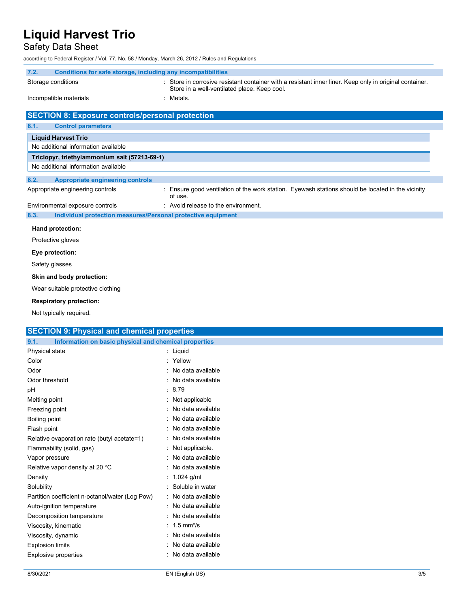## Safety Data Sheet

according to Federal Register / Vol. 77, No. 58 / Monday, March 26, 2012 / Rules and Regulations

| 7.2.                                                    | Conditions for safe storage, including any incompatibilities                                                                                            |
|---------------------------------------------------------|---------------------------------------------------------------------------------------------------------------------------------------------------------|
| Storage conditions                                      | : Store in corrosive resistant container with a resistant inner liner. Keep only in original container.<br>Store in a well-ventilated place. Keep cool. |
| Incompatible materials                                  | : Metals.                                                                                                                                               |
| <b>SECTION 8: Exposure controls/personal protection</b> |                                                                                                                                                         |
| 8.1.                                                    |                                                                                                                                                         |
| <b>Control parameters</b>                               |                                                                                                                                                         |
| <b>Liquid Harvest Trio</b>                              |                                                                                                                                                         |
| No additional information available                     |                                                                                                                                                         |
| Triclopyr, triethylammonium salt (57213-69-1)           |                                                                                                                                                         |
| No additional information available                     |                                                                                                                                                         |
| 8.2.<br><b>Appropriate engineering controls</b>         |                                                                                                                                                         |
| Appropriate engineering controls                        | : Ensure good ventilation of the work station. Eyewash stations should be located in the vicinity<br>of use.                                            |
| Environmental exposure controls                         | : Avoid release to the environment.                                                                                                                     |
| 8.3.                                                    | Individual protection measures/Personal protective equipment                                                                                            |
| Hand protection:                                        |                                                                                                                                                         |
| Protective gloves                                       |                                                                                                                                                         |
|                                                         |                                                                                                                                                         |
| Eye protection:                                         |                                                                                                                                                         |
| Safety glasses                                          |                                                                                                                                                         |
| Skin and body protection:                               |                                                                                                                                                         |
| Wear suitable protective clothing                       |                                                                                                                                                         |

#### **Respiratory protection:**

Not typically required.

### **SECTION 9: Physical and chemical properties**

| 9.1.<br>Information on basic physical and chemical properties |                          |
|---------------------------------------------------------------|--------------------------|
| Physical state                                                | : Liquid                 |
| Color                                                         | : Yellow                 |
| Odor                                                          | : No data available      |
| Odor threshold                                                | : No data available      |
| pH                                                            | : 8.79                   |
| Melting point                                                 | : Not applicable         |
| Freezing point                                                | : No data available      |
| Boiling point                                                 | : No data available      |
| Flash point                                                   | No data available        |
| Relative evaporation rate (butyl acetate=1)                   | : No data available      |
| Flammability (solid, gas)                                     | : Not applicable.        |
| Vapor pressure                                                | No data available        |
| Relative vapor density at 20 °C                               | : No data available      |
| Density                                                       | : $1.024$ g/ml           |
| Solubility                                                    | : Soluble in water       |
| Partition coefficient n-octanol/water (Log Pow)               | : No data available      |
| Auto-ignition temperature                                     | : No data available      |
| Decomposition temperature                                     | : No data available      |
| Viscosity, kinematic                                          | : 1.5 mm <sup>2</sup> /s |
| Viscosity, dynamic                                            | : No data available      |
| <b>Explosion limits</b>                                       | : No data available      |
| <b>Explosive properties</b>                                   | No data available        |
|                                                               |                          |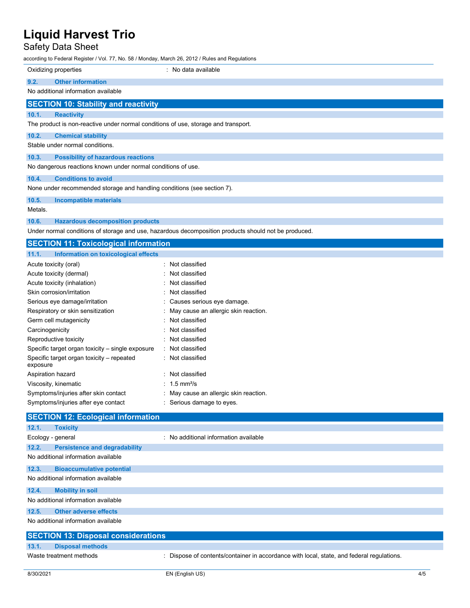### Safety Data Sheet

according to Federal Register / Vol. 77, No. 58 / Monday, March 26, 2012 / Rules and Regulations

|                                                              | Oxidizing properties                                                               | No data available |
|--------------------------------------------------------------|------------------------------------------------------------------------------------|-------------------|
| 9.2.                                                         | <b>Other information</b>                                                           |                   |
|                                                              | No additional information available                                                |                   |
|                                                              | <b>SECTION 10: Stability and reactivity</b>                                        |                   |
| 10.1.                                                        | <b>Reactivity</b>                                                                  |                   |
|                                                              | The product is non-reactive under normal conditions of use, storage and transport. |                   |
| 10.2.                                                        | <b>Chemical stability</b>                                                          |                   |
|                                                              | Stable under normal conditions.                                                    |                   |
| 10.3.                                                        | <b>Possibility of hazardous reactions</b>                                          |                   |
| No dangerous reactions known under normal conditions of use. |                                                                                    |                   |
| 10.4.                                                        | <b>Conditions to avoid</b>                                                         |                   |
|                                                              | None under recommended storage and handling conditions (see section 7).            |                   |
| 10.5.                                                        | <b>Incompatible materials</b>                                                      |                   |
| Metals.                                                      |                                                                                    |                   |
| 10.6.                                                        | <b>Hazardous decomposition products</b>                                            |                   |

Under normal conditions of storage and use, hazardous decomposition products should not be produced.

| <b>SECTION 11: Toxicological information</b>          |                                        |
|-------------------------------------------------------|----------------------------------------|
| 11.1.<br>Information on toxicological effects         |                                        |
| Acute toxicity (oral)                                 | : Not classified                       |
| Acute toxicity (dermal)                               | : Not classified                       |
| Acute toxicity (inhalation)                           | : Not classified                       |
| Skin corrosion/irritation                             | : Not classified                       |
| Serious eye damage/irritation                         | : Causes serious eye damage.           |
| Respiratory or skin sensitization                     | : May cause an allergic skin reaction. |
| Germ cell mutagenicity                                | : Not classified                       |
| Carcinogenicity                                       | : Not classified                       |
| Reproductive toxicity                                 | : Not classified                       |
| Specific target organ toxicity – single exposure      | : Not classified                       |
| Specific target organ toxicity – repeated<br>exposure | : Not classified                       |
| Aspiration hazard                                     | : Not classified                       |
| Viscosity, kinematic                                  | : 1.5 mm <sup>2</sup> /s               |
| Symptoms/injuries after skin contact                  | : May cause an allergic skin reaction. |
| Symptoms/injuries after eye contact                   | : Serious damage to eyes.              |
| <b>SECTION 12: Ecological information</b>             |                                        |
| 12.1.<br><b>Toxicity</b>                              |                                        |
| Ecology - general                                     | : No additional information available  |
| 12.2.<br><b>Persistence and degradability</b>         |                                        |

| No additional information available |  |
|-------------------------------------|--|
|                                     |  |

**12.3. Bioaccumulative potential** No additional information available

## **12.4. Mobility in soil**

#### No additional information available

**12.5. Other adverse effects**

No additional information available

| <b>SECTION 13: Disposal considerations</b> |                                                                                         |
|--------------------------------------------|-----------------------------------------------------------------------------------------|
| 13.1.<br><b>Disposal methods</b>           |                                                                                         |
| Waste treatment methods                    | Dispose of contents/container in accordance with local, state, and federal regulations. |